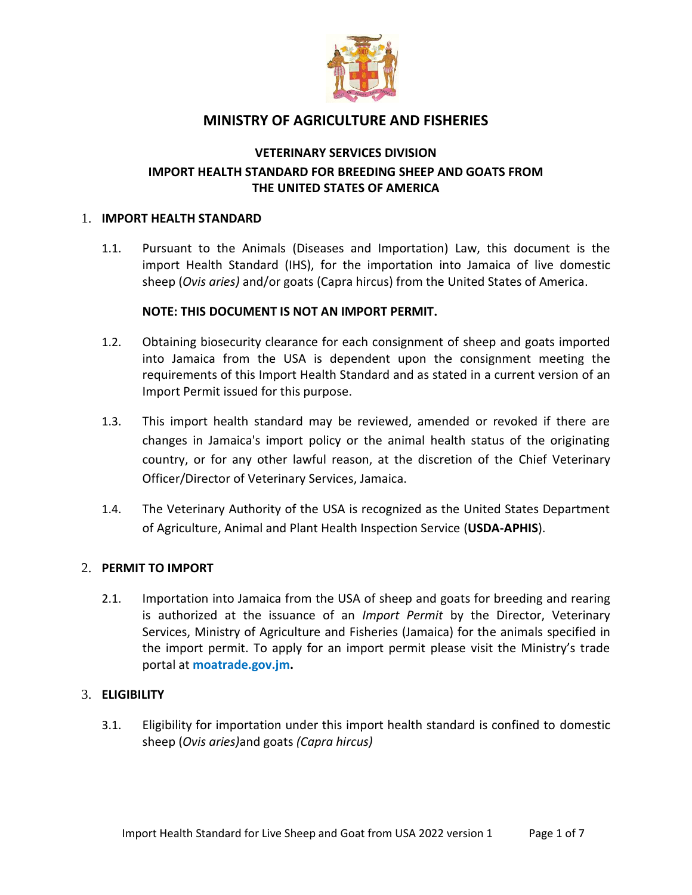

# **MINISTRY OF AGRICULTURE AND FISHERIES**

## **VETERINARY SERVICES DIVISION IMPORT HEALTH STANDARD FOR BREEDING SHEEP AND GOATS FROM THE UNITED STATES OF AMERICA**

#### 1. **IMPORT HEALTH STANDARD**

1.1. Pursuant to the Animals (Diseases and Importation) Law, this document is the import Health Standard (IHS), for the importation into Jamaica of live domestic sheep (*Ovis aries)* and/or goats (Capra hircus) from the United States of America.

#### **NOTE: THIS DOCUMENT IS NOT AN IMPORT PERMIT.**

- 1.2. Obtaining biosecurity clearance for each consignment of sheep and goats imported into Jamaica from the USA is dependent upon the consignment meeting the requirements of this Import Health Standard and as stated in a current version of an Import Permit issued for this purpose.
- 1.3. This import health standard may be reviewed, amended or revoked if there are changes in Jamaica's import policy or the animal health status of the originating country, or for any other lawful reason, at the discretion of the Chief Veterinary Officer/Director of Veterinary Services, Jamaica.
- 1.4. The Veterinary Authority of the USA is recognized as the United States Department of Agriculture, Animal and Plant Health Inspection Service (**USDA-APHIS**).

#### 2. **PERMIT TO IMPORT**

2.1. Importation into Jamaica from the USA of sheep and goats for breeding and rearing is authorized at the issuance of an *Import Permit* by the Director, Veterinary Services, Ministry of Agriculture and Fisheries (Jamaica) for the animals specified in the import permit. To apply for an import permit please visit the Ministry's trade portal at **moatrade.gov.jm.**

#### 3. **ELIGIBILITY**

3.1. Eligibility for importation under this import health standard is confined to domestic sheep (*Ovis aries)*and goats *(Capra hircus)*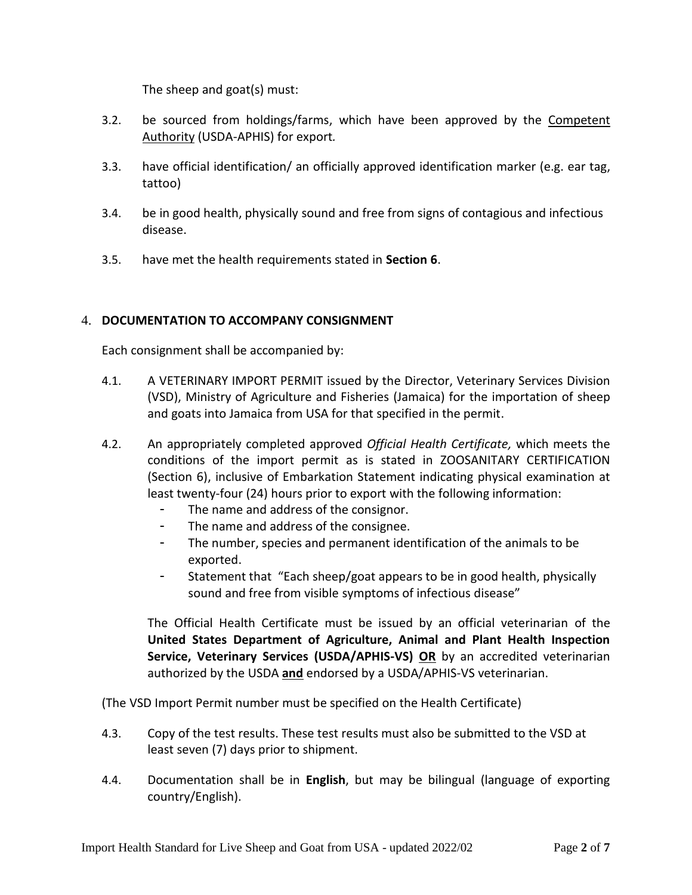The sheep and goat(s) must:

- 3.2. be sourced from holdings/farms, which have been approved by the Competent Authority (USDA-APHIS) for export*.*
- 3.3. have official identification/ an officially approved identification marker (e.g. ear tag, tattoo)
- 3.4. be in good health, physically sound and free from signs of contagious and infectious disease.
- 3.5. have met the health requirements stated in **Section 6**.

### 4. **DOCUMENTATION TO ACCOMPANY CONSIGNMENT**

Each consignment shall be accompanied by:

- 4.1. A VETERINARY IMPORT PERMIT issued by the Director, Veterinary Services Division (VSD), Ministry of Agriculture and Fisheries (Jamaica) for the importation of sheep and goats into Jamaica from USA for that specified in the permit.
- 4.2. An appropriately completed approved *Official Health Certificate,* which meets the conditions of the import permit as is stated in ZOOSANITARY CERTIFICATION (Section 6), inclusive of Embarkation Statement indicating physical examination at least twenty-four (24) hours prior to export with the following information:
	- The name and address of the consignor.
	- The name and address of the consignee.
	- The number, species and permanent identification of the animals to be exported.
	- Statement that "Each sheep/goat appears to be in good health, physically sound and free from visible symptoms of infectious disease"

The Official Health Certificate must be issued by an official veterinarian of the **United States Department of Agriculture, Animal and Plant Health Inspection Service, Veterinary Services (USDA/APHIS-VS) OR** by an accredited veterinarian authorized by the USDA **and** endorsed by a USDA/APHIS-VS veterinarian.

(The VSD Import Permit number must be specified on the Health Certificate)

- 4.3. Copy of the test results. These test results must also be submitted to the VSD at least seven (7) days prior to shipment.
- 4.4. Documentation shall be in **English**, but may be bilingual (language of exporting country/English).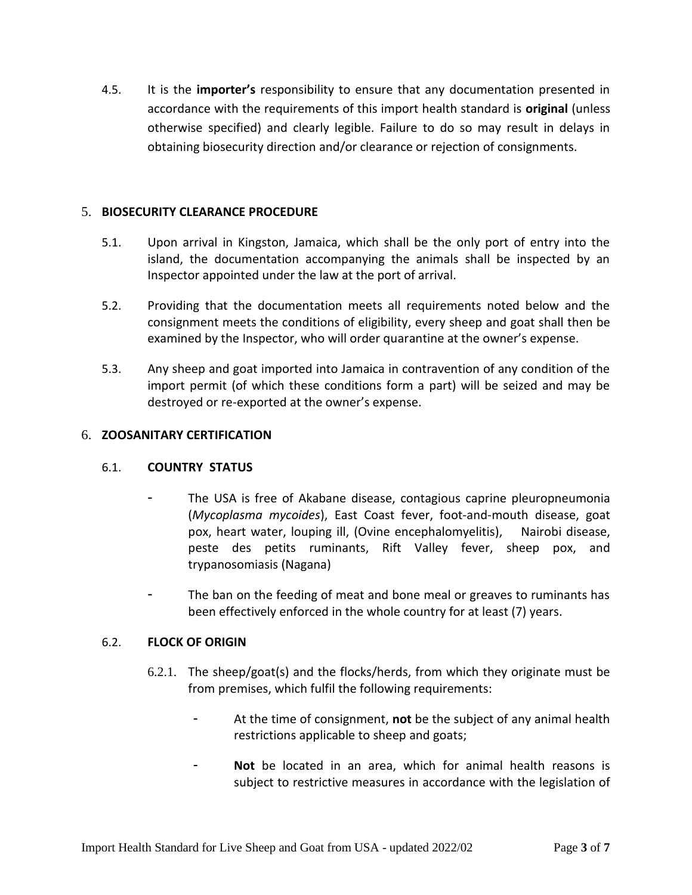4.5. It is the **importer's** responsibility to ensure that any documentation presented in accordance with the requirements of this import health standard is **original** (unless otherwise specified) and clearly legible. Failure to do so may result in delays in obtaining biosecurity direction and/or clearance or rejection of consignments.

#### 5. **BIOSECURITY CLEARANCE PROCEDURE**

- 5.1. Upon arrival in Kingston, Jamaica, which shall be the only port of entry into the island, the documentation accompanying the animals shall be inspected by an Inspector appointed under the law at the port of arrival.
- 5.2. Providing that the documentation meets all requirements noted below and the consignment meets the conditions of eligibility, every sheep and goat shall then be examined by the Inspector, who will order quarantine at the owner's expense.
- 5.3. Any sheep and goat imported into Jamaica in contravention of any condition of the import permit (of which these conditions form a part) will be seized and may be destroyed or re-exported at the owner's expense.

#### 6. **ZOOSANITARY CERTIFICATION**

#### 6.1. **COUNTRY STATUS**

- The USA is free of Akabane disease, contagious caprine pleuropneumonia (*Mycoplasma mycoides*), East Coast fever, foot-and-mouth disease, goat pox, heart water, louping ill, (Ovine encephalomyelitis), Nairobi disease, peste des petits ruminants, Rift Valley fever, sheep pox, and trypanosomiasis (Nagana)
- The ban on the feeding of meat and bone meal or greaves to ruminants has been effectively enforced in the whole country for at least (7) years.

#### 6.2. **FLOCK OF ORIGIN**

- 6.2.1. The sheep/goat(s) and the flocks/herds, from which they originate must be from premises, which fulfil the following requirements:
	- At the time of consignment, **not** be the subject of any animal health restrictions applicable to sheep and goats;
	- **Not** be located in an area, which for animal health reasons is subject to restrictive measures in accordance with the legislation of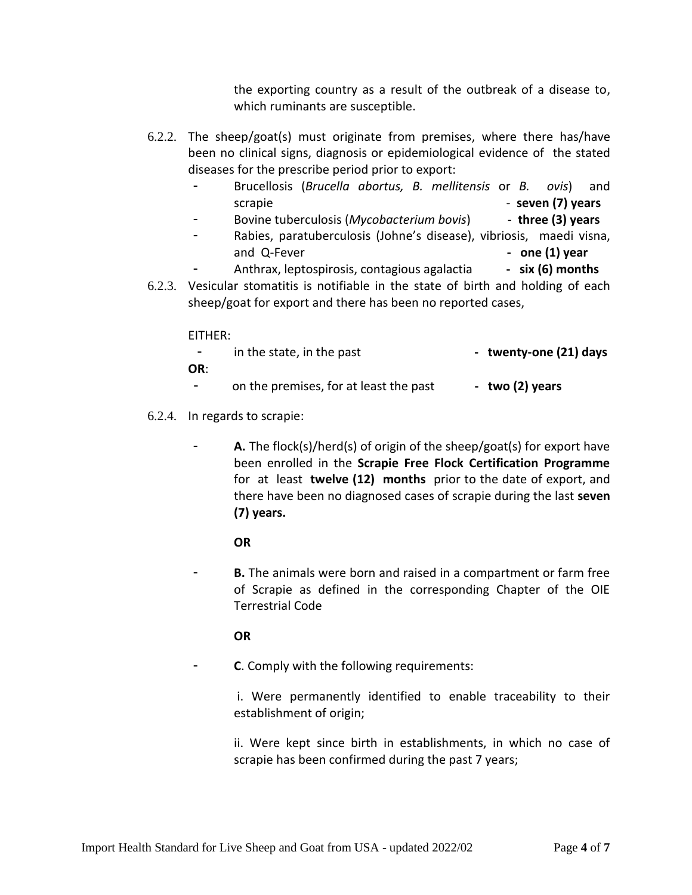the exporting country as a result of the outbreak of a disease to, which ruminants are susceptible.

- 6.2.2. The sheep/goat(s) must originate from premises, where there has/have been no clinical signs, diagnosis or epidemiological evidence of the stated diseases for the prescribe period prior to export:
	- Brucellosis (*Brucella abortus, B. mellitensis* or *B. ovis*) and scrapie **and the seven (7) years** and **seven (7) years**
	- Bovine tuberculosis (*Mycobacterium bovis*) **three (3) years**
	- Rabies, paratuberculosis (Johne's disease), vibriosis, maedi visna, and Q-Fever **and Q-Fever and Q-Fever - one (1) year**
	- Anthrax, leptospirosis, contagious agalactia **- six (6) months**
- 6.2.3. Vesicular stomatitis is notifiable in the state of birth and holding of each sheep/goat for export and there has been no reported cases,

EITHER:

| $\overline{\phantom{0}}$ | in the state, in the past              | - twenty-one (21) days |
|--------------------------|----------------------------------------|------------------------|
| OR:                      |                                        |                        |
| -                        | on the premises, for at least the past | - two (2) years        |

- 6.2.4. In regards to scrapie:
	- A. The flock(s)/herd(s) of origin of the sheep/goat(s) for export have been enrolled in the **Scrapie Free Flock Certification Programme** for at least **twelve (12) months** prior to the date of export, and there have been no diagnosed cases of scrapie during the last **seven (7) years.**

**OR**

**B.** The animals were born and raised in a compartment or farm free of Scrapie as defined in the corresponding Chapter of the OIE Terrestrial Code

**OR**

- **C**. Comply with the following requirements:

i. Were permanently identified to enable traceability to their establishment of origin;

ii. Were kept since birth in establishments, in which no case of scrapie has been confirmed during the past 7 years;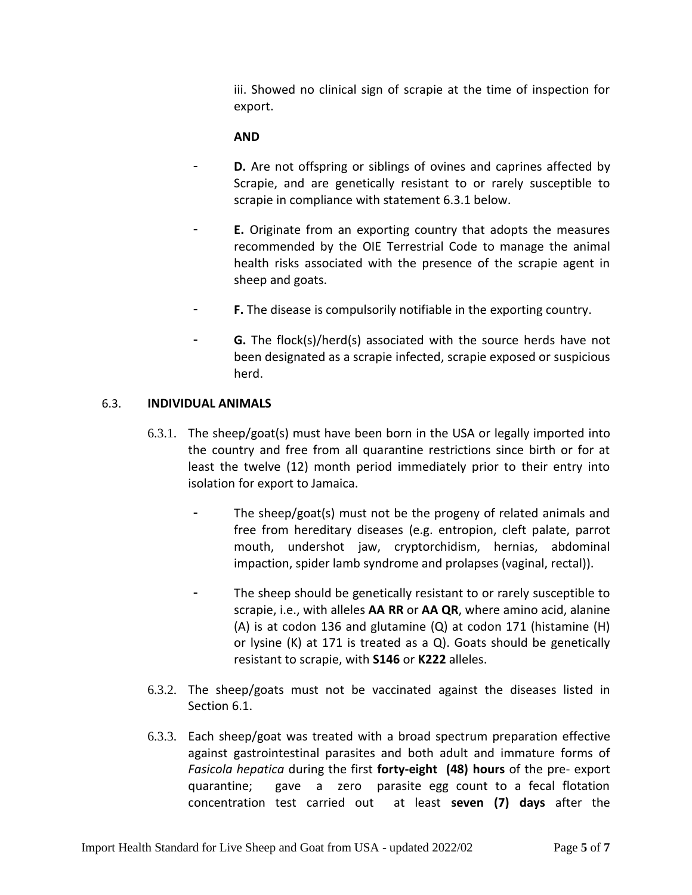iii. Showed no clinical sign of scrapie at the time of inspection for export.

### **AND**

- D. Are not offspring or siblings of ovines and caprines affected by Scrapie, and are genetically resistant to or rarely susceptible to scrapie in compliance with statement 6.3.1 below.
- E. Originate from an exporting country that adopts the measures recommended by the OIE Terrestrial Code to manage the animal health risks associated with the presence of the scrapie agent in sheep and goats.
- F. The disease is compulsorily notifiable in the exporting country.
- **G.** The flock(s)/herd(s) associated with the source herds have not been designated as a scrapie infected, scrapie exposed or suspicious herd.

### 6.3. **INDIVIDUAL ANIMALS**

- 6.3.1. The sheep/goat(s) must have been born in the USA or legally imported into the country and free from all quarantine restrictions since birth or for at least the twelve (12) month period immediately prior to their entry into isolation for export to Jamaica.
	- The sheep/goat(s) must not be the progeny of related animals and free from hereditary diseases (e.g. entropion, cleft palate, parrot mouth, undershot jaw, cryptorchidism, hernias, abdominal impaction, spider lamb syndrome and prolapses (vaginal, rectal)).
	- The sheep should be genetically resistant to or rarely susceptible to scrapie, i.e., with alleles **AA RR** or **AA QR**, where amino acid, alanine (A) is at codon 136 and glutamine (Q) at codon 171 (histamine (H) or lysine (K) at 171 is treated as a Q). Goats should be genetically resistant to scrapie, with **S146** or **K222** alleles.
- 6.3.2. The sheep/goats must not be vaccinated against the diseases listed in Section 6.1.
- 6.3.3. Each sheep/goat was treated with a broad spectrum preparation effective against gastrointestinal parasites and both adult and immature forms of *Fasicola hepatica* during the first **forty-eight (48) hours** of the pre- export quarantine; gave a zero parasite egg count to a fecal flotation concentration test carried out at least **seven (7) days** after the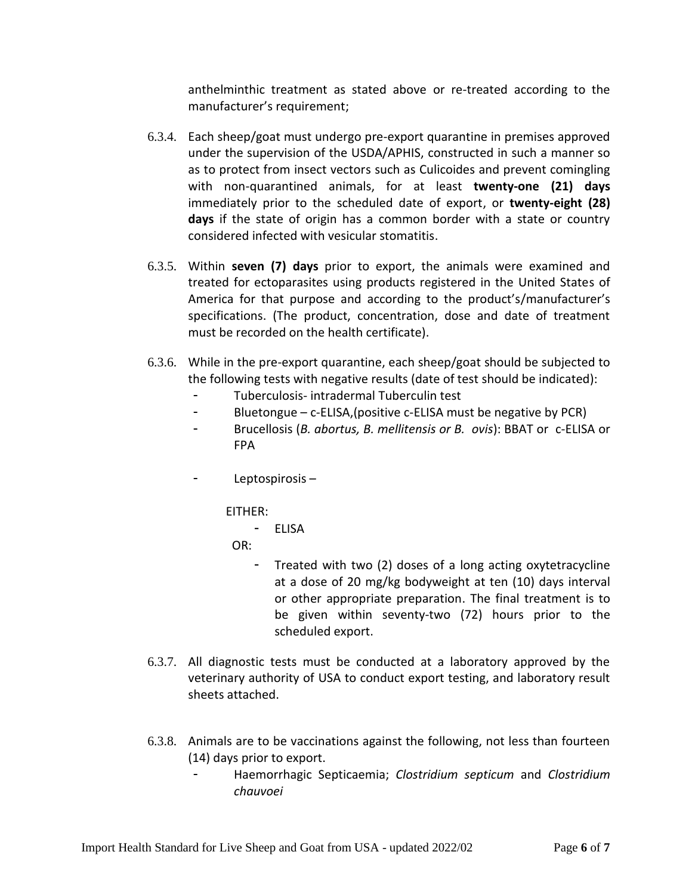anthelminthic treatment as stated above or re-treated according to the manufacturer's requirement;

- 6.3.4. Each sheep/goat must undergo pre-export quarantine in premises approved under the supervision of the USDA/APHIS, constructed in such a manner so as to protect from insect vectors such as Culicoides and prevent comingling with non-quarantined animals, for at least **twenty-one (21) days** immediately prior to the scheduled date of export, or **twenty-eight (28) days** if the state of origin has a common border with a state or country considered infected with vesicular stomatitis.
- 6.3.5. Within **seven (7) days** prior to export, the animals were examined and treated for ectoparasites using products registered in the United States of America for that purpose and according to the product's/manufacturer's specifications. (The product, concentration, dose and date of treatment must be recorded on the health certificate).
- 6.3.6. While in the pre-export quarantine, each sheep/goat should be subjected to the following tests with negative results (date of test should be indicated):
	- Tuberculosis- intradermal Tuberculin test
	- Bluetongue c-ELISA,(positive c-ELISA must be negative by PCR)
	- Brucellosis (*B. abortus, B. mellitensis or B. ovis*): BBAT or c-ELISA or FPA
	- Leptospirosis –

EITHER:

- ELISA

OR:

- Treated with two (2) doses of a long acting oxytetracycline at a dose of 20 mg/kg bodyweight at ten (10) days interval or other appropriate preparation. The final treatment is to be given within seventy-two (72) hours prior to the scheduled export.
- 6.3.7. All diagnostic tests must be conducted at a laboratory approved by the veterinary authority of USA to conduct export testing, and laboratory result sheets attached.
- 6.3.8. Animals are to be vaccinations against the following, not less than fourteen (14) days prior to export.
	- Haemorrhagic Septicaemia; *Clostridium septicum* and *Clostridium chauvoei*